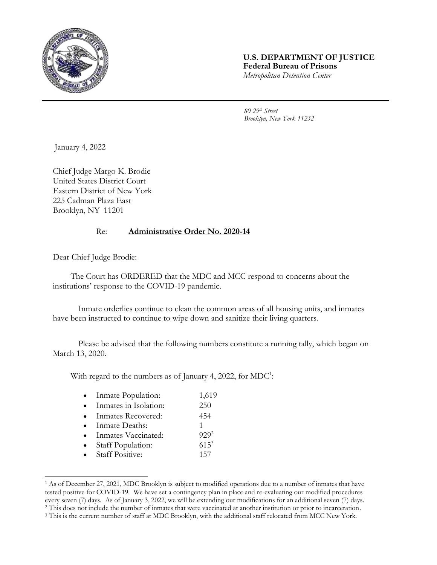

## **U.S. DEPARTMENT OF JUSTICE Federal Bureau of Prisons** *Metropolitan Detention Center*

*80 29th Street Brooklyn, New York 11232*

January 4, 2022

Chief Judge Margo K. Brodie United States District Court Eastern District of New York 225 Cadman Plaza East Brooklyn, NY 11201

## Re: **Administrative Order No. 2020-14**

Dear Chief Judge Brodie:

l

The Court has ORDERED that the MDC and MCC respond to concerns about the institutions' response to the COVID-19 pandemic.

Inmate orderlies continue to clean the common areas of all housing units, and inmates have been instructed to continue to wipe down and sanitize their living quarters.

Please be advised that the following numbers constitute a running tally, which began on March 13, 2020.

With regard to the numbers as of January 4, 2022, for  $\text{MDC}^1$ :

|  | Inmate Population: | 1,619 |
|--|--------------------|-------|
|--|--------------------|-------|

- Inmates in Isolation: 250
- Inmates Recovered: 454
- Inmate Deaths: 1
- Inmates Vaccinated: 929<sup>2</sup>
- Staff Population: 615<sup>3</sup>
- Staff Positive: 157

<sup>1</sup> As of December 27, 2021, MDC Brooklyn is subject to modified operations due to a number of inmates that have tested positive for COVID-19. We have set a contingency plan in place and re-evaluating our modified procedures every seven (7) days. As of January 3, 2022, we will be extending our modifications for an additional seven (7) days. <sup>2</sup> This does not include the number of inmates that were vaccinated at another institution or prior to incarceration.

<sup>&</sup>lt;sup>3</sup> This is the current number of staff at MDC Brooklyn, with the additional staff relocated from MCC New York.